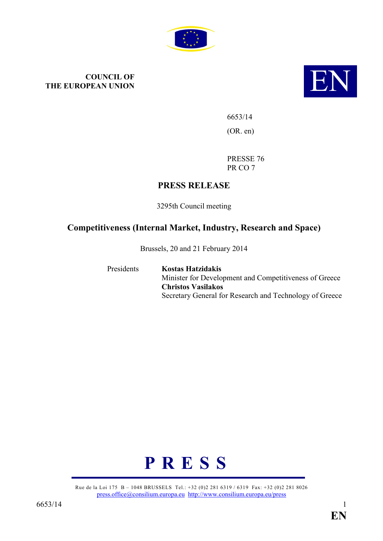

# **COUNCIL OF THE EUROPEAN UNION**



6653/14 (OR. en)

PRESSE 76 PR CO 7

# **PRESS RELEASE**

3295th Council meeting

# **Competitiveness (Internal Market, Industry, Research and Space)**

Brussels, 20 and 21 February 2014

Presidents **Kostas Hatzidakis** Minister for Development and Competitiveness of Greece **Christos Vasilakos** Secretary General for Research and Technology of Greece



Rue de la Loi 175 B – 1048 BRUSSELS Tel.: +32 (0)2 281 6319 / 6319 Fax: +32 (0)2 281 8026 [press.office@consilium.europa.eu](mailto:press.office@consilium.europa.eu) <http://www.consilium.europa.eu/press>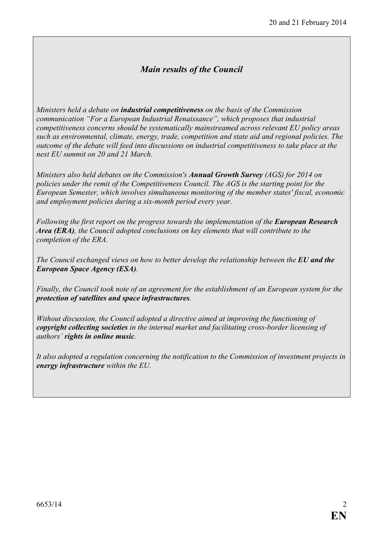# *Main results of the Council*

*Ministers held a debate on industrial competitiveness on the basis of the Commission communication "For a European Industrial Renaissance", which proposes that industrial competitiveness concerns should be systematically mainstreamed across relevant EU policy areas such as environmental, climate, energy, trade, competition and state aid and regional policies. The outcome of the debate will feed into discussions on industrial competitiveness to take place at the next EU summit on 20 and 21 March.* 

*Ministers also held debates on the Commission's Annual Growth Survey (AGS) for 2014 on policies under the remit of the Competitiveness Council. The AGS is the starting point for the European Semester, which involves simultaneous monitoring of the member states' fiscal, economic and employment policies during a six-month period every year.* 

*Following the first report on the progress towards the implementation of the European Research Area (ERA), the Council adopted conclusions on key elements that will contribute to the completion of the ERA.* 

*The Council exchanged views on how to better develop the relationship between the EU and the European Space Agency (ESA).* 

*Finally, the Council took note of an agreement for the establishment of an European system for the protection of satellites and space infrastructures.*

*Without discussion, the Council adopted a directive aimed at improving the functioning of copyright collecting societies in the internal market and facilitating cross-border licensing of authors' rights in online music.* 

*It also adopted a regulation concerning the notification to the Commission of investment projects in energy infrastructure within the EU.*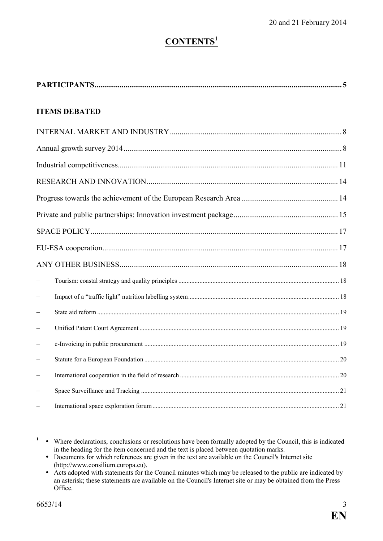# $$

| <b>ITEMS DEBATED</b> |  |  |  |
|----------------------|--|--|--|
|                      |  |  |  |
|                      |  |  |  |
|                      |  |  |  |
|                      |  |  |  |
|                      |  |  |  |
|                      |  |  |  |
|                      |  |  |  |
|                      |  |  |  |
|                      |  |  |  |
|                      |  |  |  |
|                      |  |  |  |
|                      |  |  |  |
|                      |  |  |  |
|                      |  |  |  |
|                      |  |  |  |
|                      |  |  |  |
|                      |  |  |  |
|                      |  |  |  |

<sup>&</sup>lt;sup>1</sup> • Where declarations, conclusions or resolutions have been formally adopted by the Council, this is indicated in the heading for the item concerned and the text is placed between quotation marks.

ü Documents for which references are given in the text are available on the Council's Internet site (http://www.consilium.europa.eu).

ü Acts adopted with statements for the Council minutes which may be released to the public are indicated by an asterisk; these statements are available on the Council's Internet site or may be obtained from the Press Office.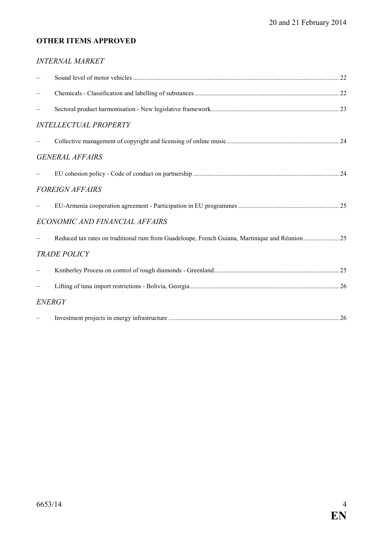# **OTHER ITEMS APPROVED**

| <b>INTERNAL MARKET</b>         |  |
|--------------------------------|--|
|                                |  |
|                                |  |
|                                |  |
| <b>INTELLECTUAL PROPERTY</b>   |  |
|                                |  |
| <b>GENERAL AFFAIRS</b>         |  |
|                                |  |
| <b>FOREIGN AFFAIRS</b>         |  |
|                                |  |
| ECONOMIC AND FINANCIAL AFFAIRS |  |
|                                |  |
| <b>TRADE POLICY</b>            |  |
|                                |  |
|                                |  |
| <b>ENERGY</b>                  |  |
|                                |  |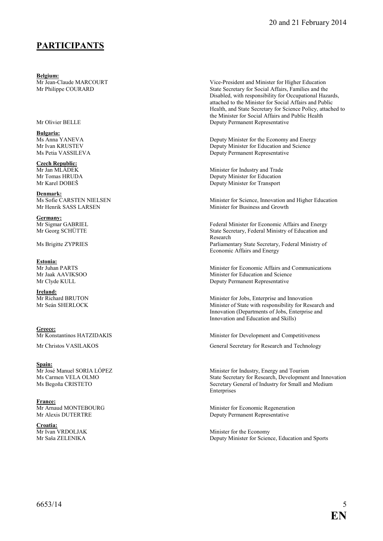# **PARTICIPATS**

**Belgium:**<br>Mr Jean-Claude MARCOURT

**Bulgaria:**

**Czech Republic:**<br>Mr Jan MLÁDEK

**Denmark:**<br>Ms Sofie CARSTEN NIELSEN

**Germany:**<br>Mr Sigmar GABRIEL

# **Estonia:**<br>Mr Juhan PARTS

**Ireland:**<br>Mr Richard BRUTON

**Greece:**<br>Mr Konstantinos HATZIDAKIS

# Spain:<br>Mr José Manuel SORIA LÓPEZ

**France:**<br>Mr Arnaud MONTEBOURG

**Croatia:**<br>Mr Ivan VRDOLJAK

Mr Jean-Claude MARCOURT Vice-President and Minister for Higher Education<br>Mr Philippe COURARD State Secretary for Social Affairs, Families and the State Secretary for Social Affairs, Families and the Disabled, with responsibility for Occupational Hazards, attached to the Minister for Social Affairs and Public Health, and State Secretary for Science Policy, attached to the Minister for Social Affairs and Public Health Mr Olivier BELLE Deputy Permanent Representative

Ms Anna YANEVA<br>
Mr Ivan KRUSTEV<br>
Deputy Minister for Education and Science<br>
Deputy Minister for Education and Science Mr Ivan KRUSTEV Deputy Minister for Education and Science<br>Ms Petia VASSILEVA Deputy Permanent Representative Deputy Permanent Representative

Minister for Industry and Trade Mr Tomas HRUDA<br>
Mr Karel DOBEŠ<br>
Deputy Minister for Transport<br>
Deputy Minister for Transport Deputy Minister for Transport

Minister for Science, Innovation and Higher Education Mr Henrik SASS LARSEN Minister for Business and Growth

Mr Sigmar GABRIEL Federal Minister for Economic Affairs and Energy<br>Mr Georg SCHÜTTE State Secretary, Federal Ministry of Education and State Secretary, Federal Ministry of Education and Research Ms Brigitte ZYPRIES Parliamentary State Secretary, Federal Ministry of Economic Affairs and Energy

Mr Juhan PARTS<br>
Minister for Economic Affairs and Communications<br>
Minister for Education and Science<br>
Minister for Education and Science Minister for Education and Science Mr Clyde KULL Deputy Permanent Representative

Mr Richard BRUTON Minister for Jobs, Enterprise and Innovation<br>Mr Seán SHERLOCK Minister of State with responsibility for Rese Minister of State with responsibility for Research and Innovation (Departments of Jobs, Enterprise and Innovation and Education and Skills)

Minister for Development and Competitiveness

Mr Christos VASILAKOS General Secretary for Research and Technology

Mr José Manuel SORIA LÓPEZ<br>
Minister for Industry, Energy and Tourism<br>
Minister for Industry, Energy and Tourism<br>
Minister for Industry, Energy and Tourism<br>
State Secretary for Research, Development Ms Carmen VELA OLMO<br>
Ms Begoña CRISTETO<br>
Ms Begoña CRISTETO<br>
Secretary General of Industry for Small and Medium Secretary General of Industry for Small and Medium Enterprises

Minister for Economic Regeneration Mr Alexis DUTERTRE Deputy Permanent Representative

Mr Ivan VRDOLJAK Minister for the Economy<br>Mr Saša ZELENIKA Deputy Minister for Scien Deputy Minister for Science, Education and Sports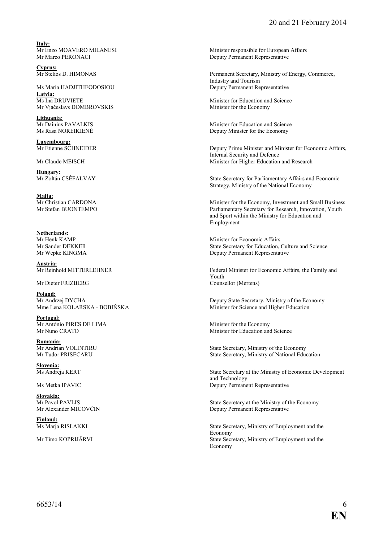**Italy:**<br>Mr Enzo MOAVERO MILANESI

**Cyprus:**<br>Mr Stelios D. HIMONAS

Ms Maria HADJITHEODOSIOU Deputy Permanent Representative **Latvia:** Mr Vjačeslavs DOMBROVSKIS Minister for the Economy

**Lithuania:**

**Luxembourg:**

**Hungary:**<br>Mr Zoltán CSÉFALVAY

**Malta:**<br>Mr Christian CARDONA

**Netherlands:**<br>Mr Henk KAMP

**Austria:**<br>Mr Reinhold MITTERLEHNER

Mr Dieter FRIZBERG

**Poland:**<br>Mr Andrzej DYCHA

**Portugal:** Mr António PIRES DE LIMA<br>
Mr Nuno CRATO Minister for Education and<br>
Minister for Education and

**Romania:**<br>Mr Andrian VOLINTIRU

**Slovenia:**

**Slovakia:**

**Finland:**

Mr Enzo MOAVERO MILANESI Minister responsible for European Affairs<br>Mr Marco PERONACI Mr Marco PERONACI Deputy Permanent Representative Deputy Permanent Representative

> Permanent Secretary, Ministry of Energy, Commerce, Industry and Tourism

Minister for Education and Science

Mr Dainius PAVALKIS<br>
Minister for Education and Science<br>
Minister for the Economy<br>
Deputy Minister for the Economy Deputy Minister for the Economy

Deputy Prime Minister and Minister for Economic Affairs, Internal Security and Defence Mr Claude MEISCH Minister for Higher Education and Research

> State Secretary for Parliamentary Affairs and Economic Strategy, Ministry of the National Economy

Mr Christian CARDONA Minister for the Economy, Investment and Small Business<br>Mr Stefan BUONTEMPO Parliamentary Secretary for Research. Innovation. Youth Parliamentary Secretary for Research, Innovation, Youth and Sport within the Ministry for Education and Employment

Mr Henk KAMP<br>Minister for Economic Affairs<br>Mr Sander DEKKER<br>State Secretary for Education Mr Sander DEKKER State Secretary for Education, Culture and Science<br>Mr Wepke KINGMA Deputy Permanent Representative Deputy Permanent Representative

> Federal Minister for Economic Affairs, the Family and Youth<br>Counsellor (Mertens)

Mr Andrzej DYCHA Deputy State Secretary, Ministry of the Economy<br>
Mme Lena KOLARSKA - BOBIŃSKA Minister for Science and Higher Education Minister for Science and Higher Education

Minister for Education and Science

Mr Andrian VOLINTIRU State Secretary, Ministry of the Economy<br>Mr Tudor PRISECARU State Secretary. Ministry of National Educ State Secretary, Ministry of National Education

State Secretary at the Ministry of Economic Development and Technology Ms Metka IPAVIC Deputy Permanent Representative

Mr Pavol PAVLIS<br>
Mr Alexander MICOVČIN State Secretary at the Ministry of the Economy<br>
Deputy Permanent Representative Deputy Permanent Representative

State Secretary, Ministry of Employment and the Economy Mr Timo KOPRIJÄRVI State Secretary, Ministry of Employment and the Economy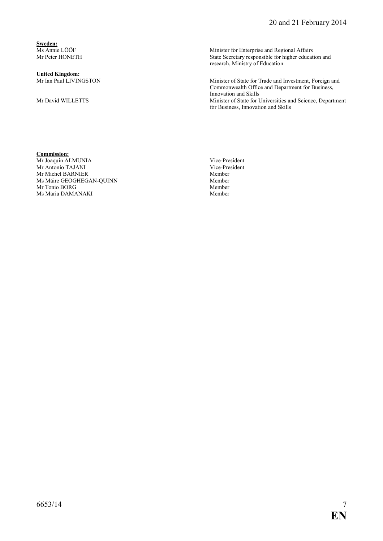**Sweden:**<br>Ms Annie LÖÖF

**United Kingdom:**

Ms Annie LÖÖF Minister for Enterprise and Regional Affairs<br>Mr Peter HONETH State Secretary responsible for higher educat State Secretary responsible for higher education and research, Ministry of Education

Minister of State for Trade and Investment, Foreign and Commonwealth Office and Department for Business, Innovation and Skills Mr David WILLETTS Minister of State for Universities and Science, Department for Business, Innovation and Skills

#### **Commission:**

Mr Joaquin ALMUNIA<br>
Mr Antonio TAJANI<br>
Vice-President Vice-President Mr Antonio TAJANI Vice-President and Mr Antonio TAJANI Vice-President and Mr Antonio TAJANI Vice-Pre Mr Michel BARNIER Member<br>
Ms Máire GEOGHEGAN-OUINN Member<br>
Member Ms Máire GEOGHEGAN-QUINN Member Mr Tonio BORG Member<br>
Ms Maria DAMANAKI Member<br>
Member Ms Maria DAMANAKI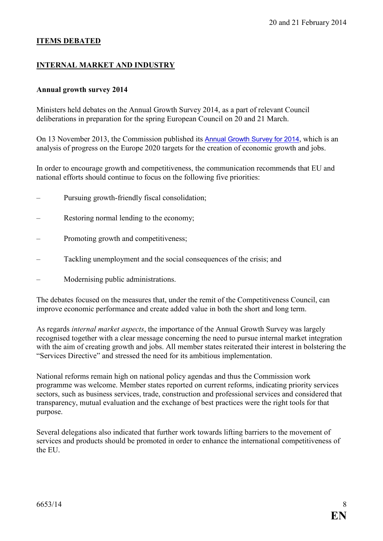#### **ITEMS DEBATED**

#### **INTERNAL MARKET AND INDUSTRY**

#### **Annual growth survey 2014**

Ministers held debates on the Annual Growth Survey 2014, as a part of relevant Council deliberations in preparation for the spring European Council on 20 and 21 March.

On 13 November 2013, the Commission published its [Annual Growth Survey for 2014](http://ec.europa.eu/europe2020/pdf/2014/ags2014_en.pdf), which is an analysis of progress on the Europe 2020 targets for the creation of economic growth and jobs.

In order to encourage growth and competitiveness, the communication recommends that EU and national efforts should continue to focus on the following five priorities:

- Pursuing growth-friendly fiscal consolidation;
- Restoring normal lending to the economy;
- Promoting growth and competitiveness:
- Tackling unemployment and the social consequences of the crisis; and
- Modernising public administrations.

The debates focused on the measures that, under the remit of the Competitiveness Council, can improve economic performance and create added value in both the short and long term.

As regards *internal market aspects*, the importance of the Annual Growth Survey was largely recognised together with a clear message concerning the need to pursue internal market integration with the aim of creating growth and jobs. All member states reiterated their interest in bolstering the "Services Directive" and stressed the need for its ambitious implementation.

National reforms remain high on national policy agendas and thus the Commission work programme was welcome. Member states reported on current reforms, indicating priority services sectors, such as business services, trade, construction and professional services and considered that transparency, mutual evaluation and the exchange of best practices were the right tools for that purpose.

Several delegations also indicated that further work towards lifting barriers to the movement of services and products should be promoted in order to enhance the international competitiveness of the EU.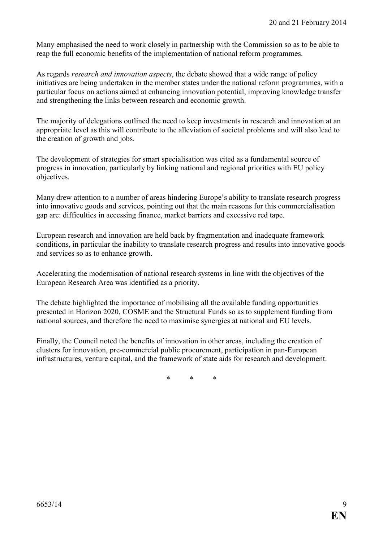Many emphasised the need to work closely in partnership with the Commission so as to be able to reap the full economic benefits of the implementation of national reform programmes.

As regards *research and innovation aspects*, the debate showed that a wide range of policy initiatives are being undertaken in the member states under the national reform programmes, with a particular focus on actions aimed at enhancing innovation potential, improving knowledge transfer and strengthening the links between research and economic growth.

The majority of delegations outlined the need to keep investments in research and innovation at an appropriate level as this will contribute to the alleviation of societal problems and will also lead to the creation of growth and jobs.

The development of strategies for smart specialisation was cited as a fundamental source of progress in innovation, particularly by linking national and regional priorities with EU policy objectives.

Many drew attention to a number of areas hindering Europe's ability to translate research progress into innovative goods and services, pointing out that the main reasons for this commercialisation gap are: difficulties in accessing finance, market barriers and excessive red tape.

European research and innovation are held back by fragmentation and inadequate framework conditions, in particular the inability to translate research progress and results into innovative goods and services so as to enhance growth.

Accelerating the modernisation of national research systems in line with the objectives of the European Research Area was identified as a priority.

The debate highlighted the importance of mobilising all the available funding opportunities presented in Horizon 2020, COSME and the Structural Funds so as to supplement funding from national sources, and therefore the need to maximise synergies at national and EU levels.

Finally, the Council noted the benefits of innovation in other areas, including the creation of clusters for innovation, pre-commercial public procurement, participation in pan-European infrastructures, venture capital, and the framework of state aids for research and development.

\* \* \*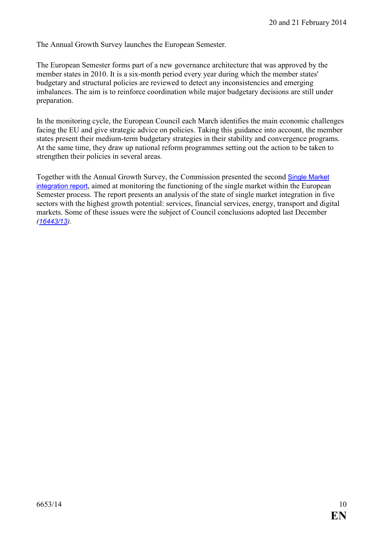The Annual Growth Survey launches the European Semester.

The European Semester forms part of a new governance architecture that was approved by the member states in 2010. It is a six-month period every year during which the member states' budgetary and structural policies are reviewed to detect any inconsistencies and emerging imbalances. The aim is to reinforce coordination while major budgetary decisions are still under preparation.

In the monitoring cycle, the European Council each March identifies the main economic challenges facing the EU and give strategic advice on policies. Taking this guidance into account, the member states present their medium-term budgetary strategies in their stability and convergence programs. At the same time, they draw up national reform programmes setting out the action to be taken to strengthen their policies in several areas.

Together with the Annual Growth Survey, the Commission presented the second [Single Market](http://ec.europa.eu/europe2020/pdf/2014/smr2014_en.pdf)  [integration report](http://ec.europa.eu/europe2020/pdf/2014/smr2014_en.pdf), aimed at monitoring the functioning of the single market within the European Semester process. The report presents an analysis of the state of single market integration in five sectors with the highest growth potential: services, financial services, energy, transport and digital markets. Some of these issues were the subject of Council conclusions adopted last December *([16443/13](http://register.consilium.europa.eu/pdf/en/13/st16/st16443.en13.pdf)).*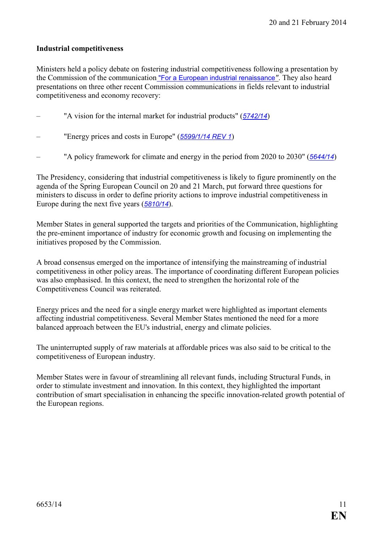#### **Industrial competitiveness**

Ministers held a policy debate on fostering industrial competitiveness following a presentation by the Commission of the communication ["For a European industrial renaissance](http://ec.europa.eu/enterprise/initiatives/mission-growth/index_en.htm)*"*. They also heard presentations on three other recent Commission communications in fields relevant to industrial competitiveness and economy recovery:

- "A vision for the internal market for industrial products" (*[5742/14](http://register.consilium.europa.eu/pdf/en/14/st05/st05742.en14.pdf)*)
- "Energy prices and costs in Europe" (*[5599/1/14 REV 1](http://register.consilium.europa.eu/pdf/en/14/st05/st05599-re01.en14.pdf)*)
- "A policy framework for climate and energy in the period from 2020 to 2030" (*[5644/14](http://register.consilium.europa.eu/pdf/en/14/st05/st05644.en14.pdf)*)

The Presidency, considering that industrial competitiveness is likely to figure prominently on the agenda of the Spring European Council on 20 and 21 March, put forward three questions for ministers to discuss in order to define priority actions to improve industrial competitiveness in Europe during the next five years (*[5810/14](http://register.consilium.europa.eu/pdf/en/14/st05/st05810.en14.pdf)*).

Member States in general supported the targets and priorities of the Communication, highlighting the pre-eminent importance of industry for economic growth and focusing on implementing the initiatives proposed by the Commission.

A broad consensus emerged on the importance of intensifying the mainstreaming of industrial competitiveness in other policy areas. The importance of coordinating different European policies was also emphasised. In this context, the need to strengthen the horizontal role of the Competitiveness Council was reiterated.

Energy prices and the need for a single energy market were highlighted as important elements affecting industrial competitiveness. Several Member States mentioned the need for a more balanced approach between the EU's industrial, energy and climate policies.

The uninterrupted supply of raw materials at affordable prices was also said to be critical to the competitiveness of European industry.

Member States were in favour of streamlining all relevant funds, including Structural Funds, in order to stimulate investment and innovation. In this context, they highlighted the important contribution of smart specialisation in enhancing the specific innovation-related growth potential of the European regions.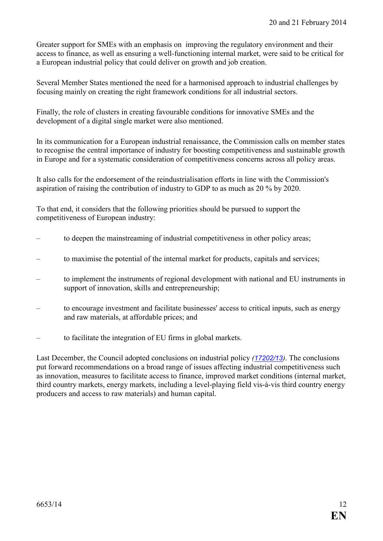Greater support for SMEs with an emphasis on improving the regulatory environment and their access to finance, as well as ensuring a well-functioning internal market, were said to be critical for a European industrial policy that could deliver on growth and job creation.

Several Member States mentioned the need for a harmonised approach to industrial challenges by focusing mainly on creating the right framework conditions for all industrial sectors.

Finally, the role of clusters in creating favourable conditions for innovative SMEs and the development of a digital single market were also mentioned.

In its communication for a European industrial renaissance, the Commission calls on member states to recognise the central importance of industry for boosting competitiveness and sustainable growth in Europe and for a systematic consideration of competitiveness concerns across all policy areas.

It also calls for the endorsement of the reindustrialisation efforts in line with the Commission's aspiration of raising the contribution of industry to GDP to as much as 20 % by 2020.

To that end, it considers that the following priorities should be pursued to support the competitiveness of European industry:

- to deepen the mainstreaming of industrial competitiveness in other policy areas;
- to maximise the potential of the internal market for products, capitals and services;
- to implement the instruments of regional development with national and EU instruments in support of innovation, skills and entrepreneurship;
- to encourage investment and facilitate businesses' access to critical inputs, such as energy and raw materials, at affordable prices; and
- to facilitate the integration of EU firms in global markets.

Last December, the Council adopted conclusions on industrial policy *([17202/13](http://register.consilium.europa.eu/pdf/en/13/st17/st17202.en13.pdf))*. The conclusions put forward recommendations on a broad range of issues affecting industrial competitiveness such as innovation, measures to facilitate access to finance, improved market conditions (internal market, third country markets, energy markets, including a level-playing field vis-à-vis third country energy producers and access to raw materials) and human capital.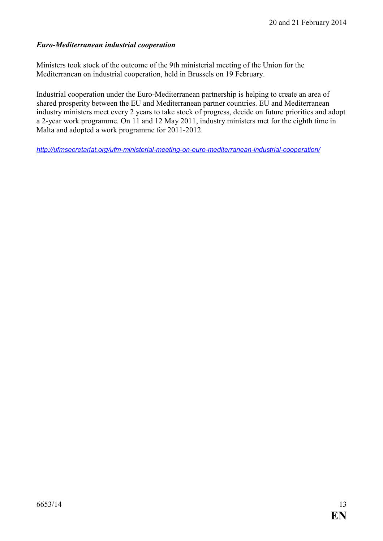#### *Euro-Mediterranean industrial cooperation*

Ministers took stock of the outcome of the 9th ministerial meeting of the Union for the Mediterranean on industrial cooperation, held in Brussels on 19 February.

Industrial cooperation under the [Euro-Mediterranean partnership](http://eeas.europa.eu/euromed/index_en.htm) is helping to create an area of shared prosperity between the EU and Mediterranean partner countries. EU and Mediterranean industry ministers meet every 2 years to take stock of progress, decide on future priorities and adopt a 2-year work programme. On 11 and 12 May 2011, industry ministers met for the eighth time in Malta and adopted a [work programme for 2011-2012.](http://ec.europa.eu/enterprise/policies/international/files/work-programme-2011-2012_en.pdf) 

*<http://ufmsecretariat.org/ufm-ministerial-meeting-on-euro-mediterranean-industrial-cooperation/>*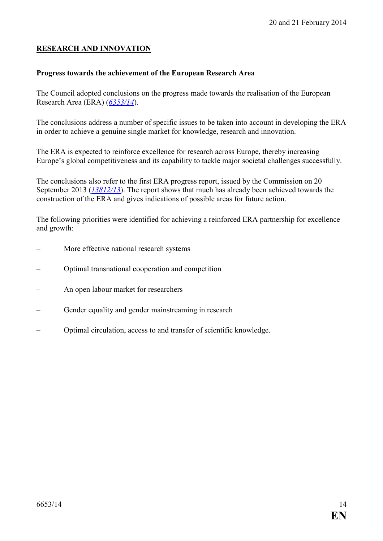#### **RESEARCH AND INNOVATION**

#### **Progress towards the achievement of the European Research Area**

The Council adopted conclusions on the progress made towards the realisation of the European Research Area (ERA) (*[6353/14](http://register.consilium.europa.eu/pdf/en/14/st06/st06353.en14.pdf)*).

The conclusions address a number of specific issues to be taken into account in developing the ERA in order to achieve a genuine single market for knowledge, research and innovation.

The ERA is expected to reinforce excellence for research across Europe, thereby increasing Europe's global competitiveness and its capability to tackle major societal challenges successfully.

The conclusions also refer to the first ERA progress report, issued by the Commission on 20 September 2013 (*[13812/13](http://register.consilium.europa.eu/pdf/en/13/st13/st13812.en13.pdf)*). The report shows that much has already been achieved towards the construction of the ERA and gives indications of possible areas for future action.

The following priorities were identified for achieving a reinforced ERA partnership for excellence and growth:

- More effective national research systems
- Optimal transnational cooperation and competition
- An open labour market for researchers
- Gender equality and gender mainstreaming in research
- Optimal circulation, access to and transfer of scientific knowledge.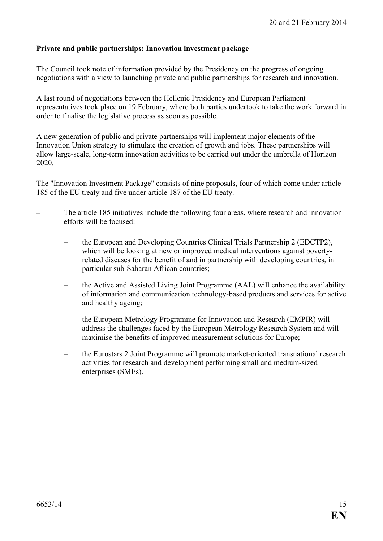#### **Private and public partnerships: Innovation investment package**

The Council took note of information provided by the Presidency on the progress of ongoing negotiations with a view to launching private and public partnerships for research and innovation.

A last round of negotiations between the Hellenic Presidency and European Parliament representatives took place on 19 February, where both parties undertook to take the work forward in order to finalise the legislative process as soon as possible.

A new generation of public and private partnerships will implement major elements of the Innovation Union strategy to stimulate the creation of growth and jobs. These partnerships will allow large-scale, long-term innovation activities to be carried out under the umbrella of Horizon 2020.

The "Innovation Investment Package" consists of nine proposals, four of which come under article 185 of the EU treaty and five under article 187 of the EU treaty.

- The article 185 initiatives include the following four areas, where research and innovation efforts will be focused:
	- the European and Developing Countries Clinical Trials Partnership 2 (EDCTP2), which will be looking at new or improved medical interventions against povertyrelated diseases for the benefit of and in partnership with developing countries, in particular sub-Saharan African countries;
	- the Active and Assisted Living Joint Programme (AAL) will enhance the availability of information and communication technology-based products and services for active and healthy ageing;
	- the European Metrology Programme for Innovation and Research (EMPIR) will address the challenges faced by the European Metrology Research System and will maximise the benefits of improved measurement solutions for Europe;
	- the Eurostars 2 Joint Programme will promote market-oriented transnational research activities for research and development performing small and medium-sized enterprises (SMEs).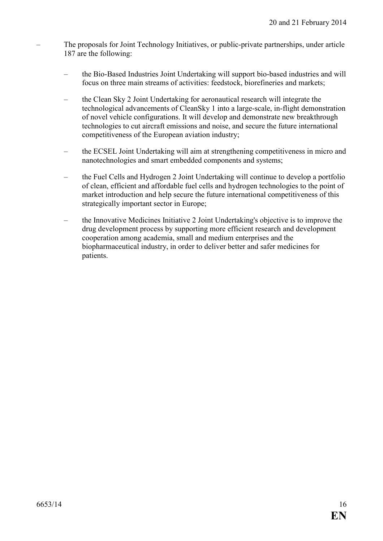- The proposals for Joint Technology Initiatives, or public-private partnerships, under article 187 are the following:
	- the Bio-Based Industries Joint Undertaking will support bio-based industries and will focus on three main streams of activities: feedstock, biorefineries and markets;
	- the Clean Sky 2 Joint Undertaking for aeronautical research will integrate the technological advancements of CleanSky 1 into a large-scale, in-flight demonstration of novel vehicle configurations. It will develop and demonstrate new breakthrough technologies to cut aircraft emissions and noise, and secure the future international competitiveness of the European aviation industry;
	- the ECSEL Joint Undertaking will aim at strengthening competitiveness in micro and nanotechnologies and smart embedded components and systems;
	- the Fuel Cells and Hydrogen 2 Joint Undertaking will continue to develop a portfolio of clean, efficient and affordable fuel cells and hydrogen technologies to the point of market introduction and help secure the future international competitiveness of this strategically important sector in Europe;
	- the Innovative Medicines Initiative 2 Joint Undertaking's objective is to improve the drug development process by supporting more efficient research and development cooperation among academia, small and medium enterprises and the biopharmaceutical industry, in order to deliver better and safer medicines for patients.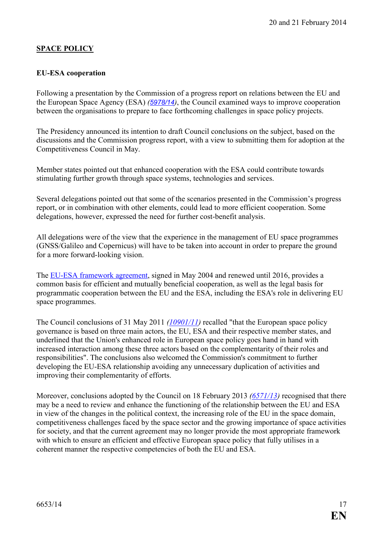# **SPACE POLICY**

#### **EU-ESA cooperation**

Following a presentation by the Commission of a progress report on relations between the EU and the European Space Agency (ESA) *([5978/14](http://register.consilium.europa.eu/pdf/en/14/st05/st05978.en14.pdf))*, the Council examined ways to improve cooperation between the organisations to prepare to face forthcoming challenges in space policy projects.

The Presidency announced its intention to draft Council conclusions on the subject, based on the discussions and the Commission progress report, with a view to submitting them for adoption at the Competitiveness Council in May.

Member states pointed out that enhanced cooperation with the ESA could contribute towards stimulating further growth through space systems, technologies and services.

Several delegations pointed out that some of the scenarios presented in the Commission's progress report, or in combination with other elements, could lead to more efficient cooperation. Some delegations, however, expressed the need for further cost-benefit analysis.

All delegations were of the view that the experience in the management of EU space programmes (GNSS/Galileo and Copernicus) will have to be taken into account in order to prepare the ground for a more forward-looking vision.

The [EU-ESA framework agreement,](http://new.eur-lex.europa.eu/resource.html?uri=cellar:742587dd-44f3-4527-be91-a2eab676330f.0008.02/DOC_2&format=PDF) signed in May 2004 and renewed until 2016, provides a common basis for efficient and mutually beneficial cooperation, as well as the legal basis for programmatic cooperation between the EU and the ESA, including the ESA's role in delivering EU space programmes.

The Council conclusions of 31 May 2011 *[\(10901/11\)](http://register.consilium.europa.eu/pdf/en/11/st10/st10901.en11.pdf)* recalled "that the European space policy governance is based on three main actors, the EU, ESA and their respective member states, and underlined that the Union's enhanced role in European space policy goes hand in hand with increased interaction among these three actors based on the complementarity of their roles and responsibilities". The conclusions also welcomed the Commission's commitment to further developing the EU-ESA relationship avoiding any unnecessary duplication of activities and improving their complementarity of efforts.

Moreover, conclusions adopted by the Council on 18 February 2013 *([6571/13\)](http://register.consilium.europa.eu/pdf/en/13/st06/st06571.en13.pdf)* recognised that there may be a need to review and enhance the functioning of the relationship between the EU and ESA in view of the changes in the political context, the increasing role of the EU in the space domain, competitiveness challenges faced by the space sector and the growing importance of space activities for society, and that the current agreement may no longer provide the most appropriate framework with which to ensure an efficient and effective European space policy that fully utilises in a coherent manner the respective competencies of both the EU and ESA.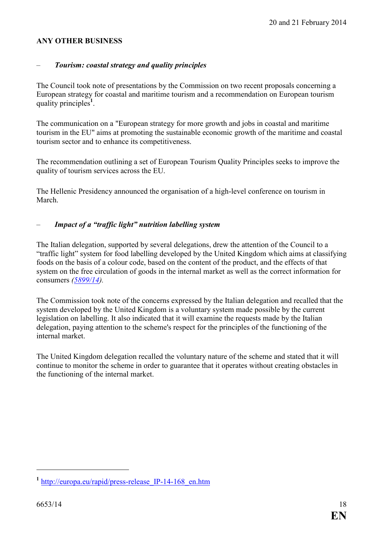#### **ANY OTHER BUSINESS**

#### – *Tourism: coastal strategy and quality principles*

The Council took note of presentations by the Commission on two recent proposals concerning a European strategy for coastal and maritime tourism and a recommendation on European tourism quality principles**<sup>1</sup>** .

The communication on a "European strategy for more growth and jobs in coastal and maritime tourism in the EU" aims at promoting the sustainable economic growth of the maritime and coastal tourism sector and to enhance its competitiveness.

The recommendation outlining a set of European Tourism Quality Principles seeks to improve the quality of tourism services across the EU.

The Hellenic Presidency announced the organisation of a high-level conference on tourism in March.

#### – *Impact of a "traffic light" nutrition labelling system*

The Italian delegation, supported by several delegations, drew the attention of the Council to a "traffic light" system for food labelling developed by the United Kingdom which aims at classifying foods on the basis of a colour code, based on the content of the product, and the effects of that system on the free circulation of goods in the internal market as well as the correct information for consumers *([5899/14\)](http://register.consilium.europa.eu/pdf/en/14/st05/st05899.en14.pdf).* 

The Commission took note of the concerns expressed by the Italian delegation and recalled that the system developed by the United Kingdom is a voluntary system made possible by the current legislation on labelling. It also indicated that it will examine the requests made by the Italian delegation, paying attention to the scheme's respect for the principles of the functioning of the internal market.

The United Kingdom delegation recalled the voluntary nature of the scheme and stated that it will continue to monitor the scheme in order to guarantee that it operates without creating obstacles in the functioning of the internal market.

 $\overline{a}$ 

**<sup>1</sup>** [http://europa.eu/rapid/press-release\\_IP-14-168\\_en.htm](http://europa.eu/rapid/press-release_IP-14-168_en.htm)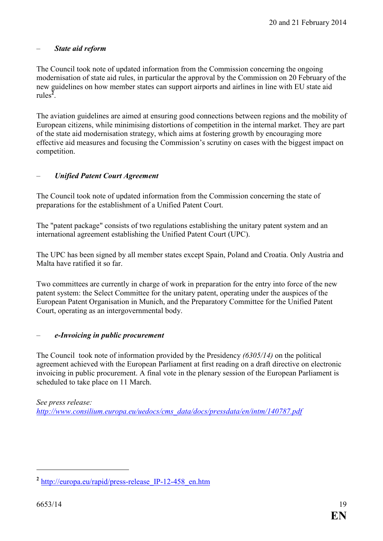#### – *State aid reform*

The Council took note of updated information from the Commission concerning the ongoing modernisation of state aid rules, in particular the approval by the Commission on 20 February of the new guidelines on how member states can support airports and airlines in line with EU state aid rules**<sup>2</sup>** .

The aviation guidelines are aimed at ensuring good connections between regions and the mobility of European citizens, while minimising distortions of competition in the internal market. They are part of the state aid modernisation strategy, which aims at fostering growth by encouraging more effective aid measures and focusing the Commission's scrutiny on cases with the biggest impact on competition.

#### – *Unified Patent Court Agreement*

The Council took note of updated information from the Commission concerning the state of preparations for the establishment of a Unified Patent Court.

The "patent package" consists of two regulations establishing the unitary patent system and an international agreement establishing the Unified Patent Court (UPC).

The UPC has been signed by all member states except Spain, Poland and Croatia. Only Austria and Malta have ratified it so far.

Two committees are currently in charge of work in preparation for the entry into force of the new patent system: the Select Committee for the unitary patent, operating under the auspices of the European Patent Organisation in Munich, and the Preparatory Committee for the Unified Patent Court, operating as an intergovernmental body.

#### – *e-Invoicing in public procurement*

The Council took note of information provided by the Presidency *(6305/14)* on the political agreement achieved with the European Parliament at first reading on a draft directive on electronic invoicing in public procurement. A final vote in the plenary session of the European Parliament is scheduled to take place on 11 March.

*See press release: [http://www.consilium.europa.eu/uedocs/cms\\_data/docs/pressdata/en/intm/140787.pdf](http://www.consilium.europa.eu/uedocs/cms_data/docs/pressdata/en/intm/140787.pdf)*

 $\overline{a}$ 

**<sup>2</sup>** [http://europa.eu/rapid/press-release\\_IP-12-458\\_en.htm](http://europa.eu/rapid/press-release_IP-12-458_en.htm)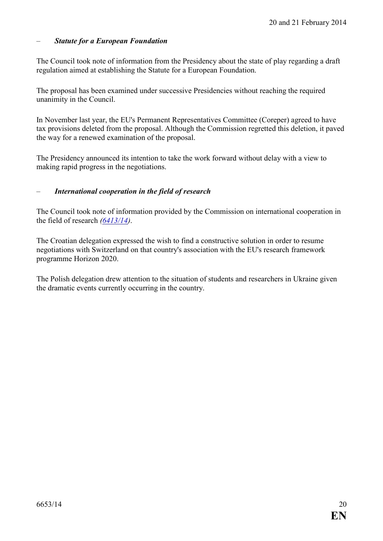#### – *Statute for a European Foundation*

The Council took note of information from the Presidency about the state of play regarding a draft regulation aimed at establishing the Statute for a European Foundation.

The proposal has been examined under successive Presidencies without reaching the required unanimity in the Council.

In November last year, the EU's Permanent Representatives Committee (Coreper) agreed to have tax provisions deleted from the proposal. Although the Commission regretted this deletion, it paved the way for a renewed examination of the proposal.

The Presidency announced its intention to take the work forward without delay with a view to making rapid progress in the negotiations.

#### – *International cooperation in the field of research*

The Council took note of information provided by the Commission on international cooperation in the field of research *[\(6413/14\)](http://register.consilium.europa.eu/pdf/en/14/st06/st06413.en14.pdf)*.

The Croatian delegation expressed the wish to find a constructive solution in order to resume negotiations with Switzerland on that country's association with the EU's research framework programme Horizon 2020.

The Polish delegation drew attention to the situation of students and researchers in Ukraine given the dramatic events currently occurring in the country.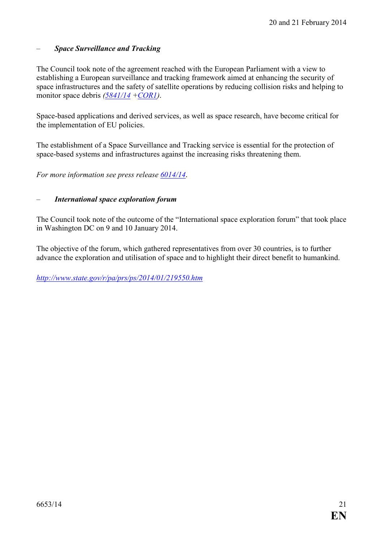#### – *Space Surveillance and Tracking*

The Council took note of the agreement reached with the European Parliament with a view to establishing a European surveillance and tracking framework aimed at enhancing the security of space infrastructures and the safety of satellite operations by reducing collision risks and helping to monitor space debris *([5841/14](http://register.consilium.europa.eu/doc/srv?l=EN&t=PDF&gc=true&sc=false&f=ST%205841%202014%20INIT) [+COR1](http://register.consilium.europa.eu/doc/srv?l=EN&t=PDF&gc=true&sc=false&f=ST%205841%202014%20COR%201))*.

Space-based applications and derived services, as well as space research, have become critical for the implementation of EU policies.

The establishment of a Space Surveillance and Tracking service is essential for the protection of space-based systems and infrastructures against the increasing risks threatening them.

*For more information see press release [6014/14](http://register.consilium.europa.eu/pdf/en/14/st06/st06014.en14.pdf).* 

#### – *International space exploration forum*

The Council took note of the outcome of the "International space exploration forum" that took place in Washington DC on 9 and 10 January 2014.

The objective of the forum, which gathered representatives from over 30 countries, is to further advance the exploration and utilisation of space and to highlight their direct benefit to humankind.

*<http://www.state.gov/r/pa/prs/ps/2014/01/219550.htm>*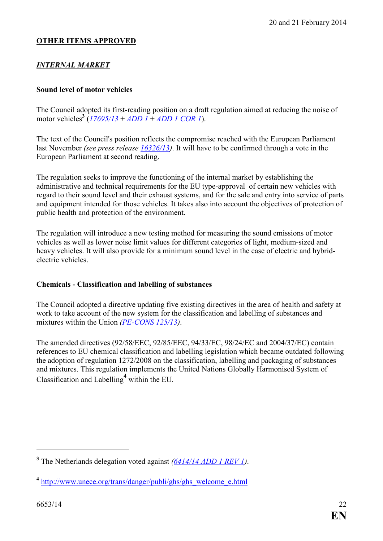### **OTHER ITEMS APPROVED**

# **INTERNAL MARKET**

#### **Sound level of motor vehicles**

The Council adopted its first-reading position on a draft regulation aimed at reducing the noise of motor vehicles**<sup>3</sup>** (*[17695/13](http://register.consilium.europa.eu/pdf/en/13/st17/st17695.en13.pdf)* + *[ADD 1](http://register.consilium.europa.eu/pdf/en/13/st17/st17695-ad01.en13.pdf)* + *[ADD 1 COR 1](http://register.consilium.europa.eu/pdf/en/13/st17/st17695-ad01co01.en13.pdf)*).

The text of the Council's position reflects the compromise reached with the European Parliament last November *(see press release [16326/13\)](http://register.consilium.europa.eu/pdf/en/13/st16/st16326.en13.pdf)*. It will have to be confirmed through a vote in the European Parliament at second reading.

The regulation seeks to improve the functioning of the internal market by establishing the administrative and technical requirements for the EU type-approval of certain new vehicles with regard to their sound level and their exhaust systems, and for the sale and entry into service of parts and equipment intended for those vehicles. It takes also into account the objectives of protection of public health and protection of the environment.

The regulation will introduce a new testing method for measuring the sound emissions of motor vehicles as well as lower noise limit values for different categories of light, medium-sized and heavy vehicles. It will also provide for a minimum sound level in the case of electric and hybridelectric vehicles.

#### **Chemicals - Classification and labelling of substances**

The Council adopted a directive updating five existing directives in the area of health and safety at work to take account of the new system for the classification and labelling of substances and mixtures within the Union *(PE-CONS 125/13)*.

The amended directives (92/58/EEC, 92/85/EEC, 94/33/EC, 98/24/EC and 2004/37/EC) contain references to EU chemical classification and labelling legislation which became outdated following the adoption of regulation 1272/2008 on the classification, labelling and packaging of substances and mixtures. This regulation implements the United Nations Globally Harmonised System of Classification and Labelling**<sup>4</sup>** within the EU.

 $\overline{a}$ 

**<sup>3</sup>** The Netherlands delegation voted against *[\(6414/14 ADD 1 REV 1\)](http://register.consilium.europa.eu/pdf/en/14/st06/st06414-ad01re01.en14.pdf)*.

**<sup>4</sup>** [http://www.unece.org/trans/danger/publi/ghs/ghs\\_welcome\\_e.html](http://www.unece.org/trans/danger/publi/ghs/ghs_welcome_e.html)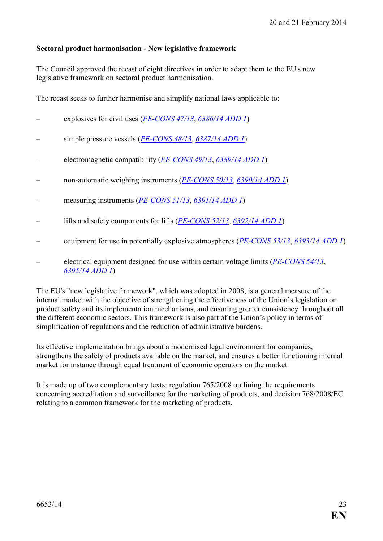#### **Sectoral product harmonisation - New legislative framework**

The Council approved the recast of eight directives in order to adapt them to the EU's new legislative framework on sectoral product harmonisation.

The recast seeks to further harmonise and simplify national laws applicable to:

- explosives for civil uses (*PE-CONS 47/13*, [6386/14 ADD 1](http://register.consilium.europa.eu/pdf/en/14/st06/st06386-ad01.en14.pdf))
- simple pressure vessels (*PE-CONS 48/13*, *[6387/14 ADD 1](http://register.consilium.europa.eu/pdf/en/14/st06/st06387-ad01.en14.pdf)*)
- electromagnetic compatibility (*PE-CONS 49/13*, *[6389/14 ADD 1](http://register.consilium.europa.eu/pdf/en/14/st06/st06389-ad01.en14.pdf)*)
- non-automatic weighing instruments (*[PE-CO3S 50/13](http://register.consilium.europa.eu/pdf/en/13/pe00/pe00050.en13.pdf)*, *[6390/14 ADD 1](http://register.consilium.europa.eu/pdf/en/14/st06/st06390-ad01.en14.pdf)*)
- measuring instruments (*PE-CONS 51/13*, [6391/14 ADD 1](http://register.consilium.europa.eu/pdf/en/14/st06/st06391-ad01.en14.pdf))
- lifts and safety components for lifts (*PE-CONS 52/13*, *[6392/14 ADD 1](http://register.consilium.europa.eu/pdf/en/14/st06/st06392-ad01.en14.pdf)*)
- equipment for use in potentially explosive atmospheres (*PE-CONS 53/13*, *[6393/14 ADD 1](http://register.consilium.europa.eu/pdf/en/14/st06/st06393-ad01.en14.pdf)*)
- electrical equipment designed for use within certain voltage limits (*PE-CONS 54/13*, *[6395/14 ADD 1](http://register.consilium.europa.eu/pdf/en/14/st06/st06395-ad01.en14.pdf)*)

The EU's "new legislative framework", which was adopted in 2008, is a general measure of the internal market with the objective of strengthening the effectiveness of the Union's legislation on product safety and its implementation mechanisms, and ensuring greater consistency throughout all the different economic sectors. This framework is also part of the Union's policy in terms of simplification of regulations and the reduction of administrative burdens.

Its effective implementation brings about a modernised legal environment for companies, strengthens the safety of products available on the market, and ensures a better functioning internal market for instance through equal treatment of economic operators on the market.

It is made up of two complementary texts: regulation 765/2008 outlining the requirements concerning accreditation and surveillance for the marketing of products, and decision 768/2008/EC relating to a common framework for the marketing of products.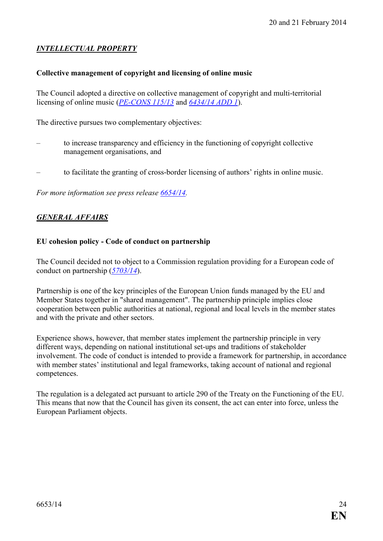# *I,TELLECTUAL PROPERTY*

#### **Collective management of copyright and licensing of online music**

The Council adopted a directive on collective management of copyright and multi-territorial licensing of online music (*PE-CONS 115/13* and  $6434/14$  *ADD 1*).

The directive pursues two complementary objectives:

- to increase transparency and efficiency in the functioning of copyright collective management organisations, and
- to facilitate the granting of cross-border licensing of authors' rights in online music.

*For more information see press release [6654/14](http://www.consilium.europa.eu/uedocs/cms_data/docs/pressdata/en/intm/141081.pdf).* 

#### **GENERAL AFFAIRS**

#### **EU cohesion policy - Code of conduct on partnership**

The Council decided not to object to a Commission regulation providing for a European code of conduct on partnership (*[5703/14](http://register.consilium.europa.eu/pdf/en/14/st05/st05703.en14.pdf)*).

Partnership is one of the key principles of the European Union funds managed by the EU and Member States together in "shared management". The partnership principle implies close cooperation between public authorities at national, regional and local levels in the member states and with the private and other sectors.

Experience shows, however, that member states implement the partnership principle in very different ways, depending on national institutional set-ups and traditions of stakeholder involvement. The code of conduct is intended to provide a framework for partnership, in accordance with member states' institutional and legal frameworks, taking account of national and regional competences.

The regulation is a delegated act pursuant to article 290 of the Treaty on the Functioning of the EU. This means that now that the Council has given its consent, the act can enter into force, unless the European Parliament objects.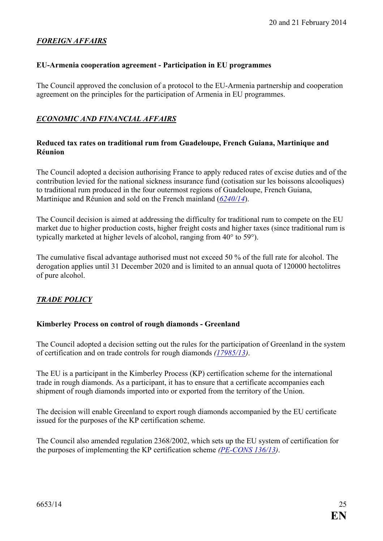### *FOREIG, AFFAIRS*

#### **EU-Armenia cooperation agreement - Participation in EU programmes**

The Council approved the conclusion of a protocol to the EU-Armenia partnership and cooperation agreement on the principles for the participation of Armenia in EU programmes.

#### *ECO,OMIC A,D FI,A,CIAL AFFAIRS*

#### **Reduced tax rates on traditional rum from Guadeloupe, French Guiana, Martinique and Réunion**

The Council adopted a decision authorising France to apply reduced rates of excise duties and of the contribution levied for the national sickness insurance fund (cotisation sur les boissons alcooliques) to traditional rum produced in the four outermost regions of Guadeloupe, French Guiana, Martinique and Réunion and sold on the French mainland (*[6240/14](http://register.consilium.europa.eu/pdf/en/14/st06/st06240.en14.pdf)*).

The Council decision is aimed at addressing the difficulty for traditional rum to compete on the EU market due to higher production costs, higher freight costs and higher taxes (since traditional rum is typically marketed at higher levels of alcohol, ranging from 40° to 59°).

The cumulative fiscal advantage authorised must not exceed 50 % of the full rate for alcohol. The derogation applies until 31 December 2020 and is limited to an annual quota of 120000 hectolitres of pure alcohol.

# *TRADE POLICY*

#### **Kimberley Process on control of rough diamonds - Greenland**

The Council adopted a decision setting out the rules for the participation of Greenland in the system of certification and on trade controls for rough diamonds *[\(17985/13\)](http://register.consilium.europa.eu/pdf/en/13/st17/st17985.en13.pdf)*.

The EU is a participant in the Kimberley Process (KP) certification scheme for the international trade in rough diamonds. As a participant, it has to ensure that a certificate accompanies each shipment of rough diamonds imported into or exported from the territory of the Union.

The decision will enable Greenland to export rough diamonds accompanied by the EU certificate issued for the purposes of the KP certification scheme.

The Council also amended regulation 2368/2002, which sets up the EU system of certification for the purposes of implementing the KP certification scheme *(PE-CONS 136/13)*.